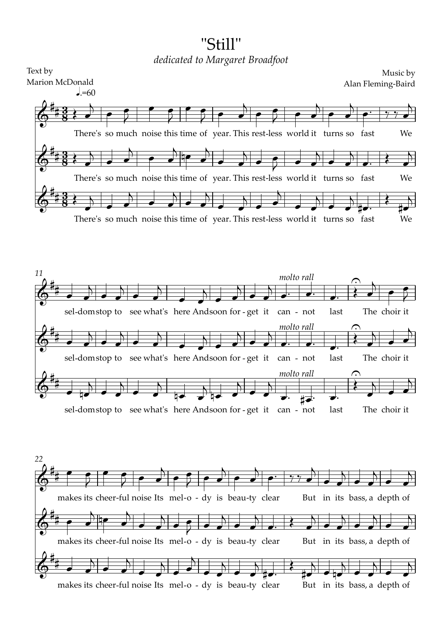## "Still" *dedicated to Margaret Broadfoot*

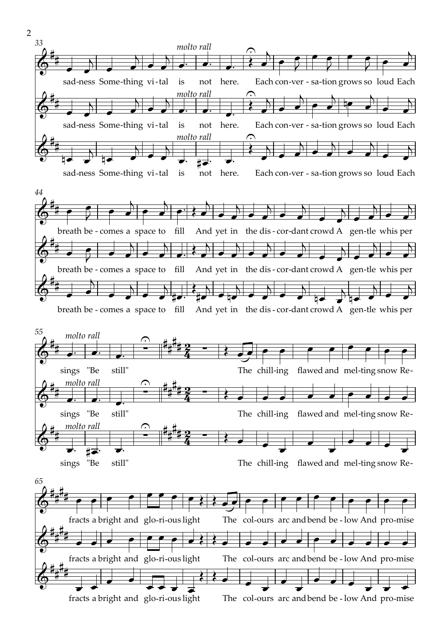